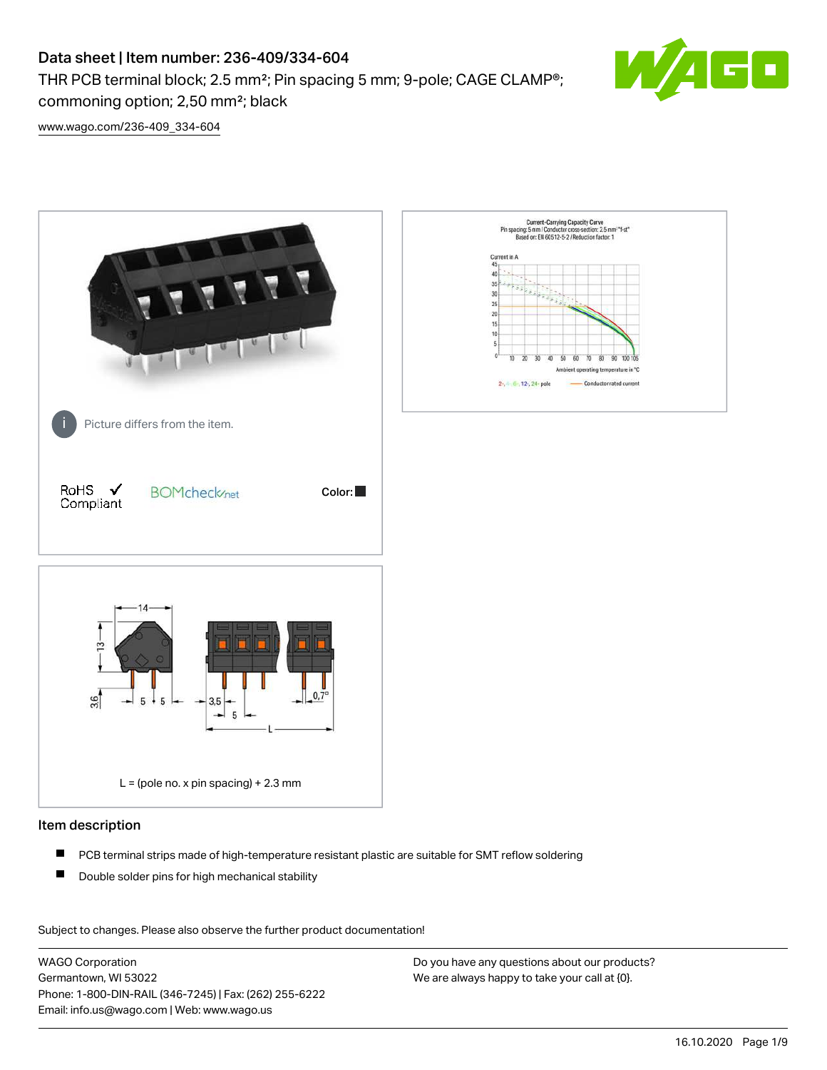THR PCB terminal block; 2.5 mm²; Pin spacing 5 mm; 9-pole; CAGE CLAMP®; commoning option; 2,50 mm²; black



[www.wago.com/236-409\\_334-604](http://www.wago.com/236-409_334-604)



#### Item description

- $\blacksquare$ PCB terminal strips made of high-temperature resistant plastic are suitable for SMT reflow soldering
- $\blacksquare$ Double solder pins for high mechanical stability

Subject to changes. Please also observe the further product documentation! Data

WAGO Corporation Germantown, WI 53022 Phone: 1-800-DIN-RAIL (346-7245) | Fax: (262) 255-6222 Email: info.us@wago.com | Web: www.wago.us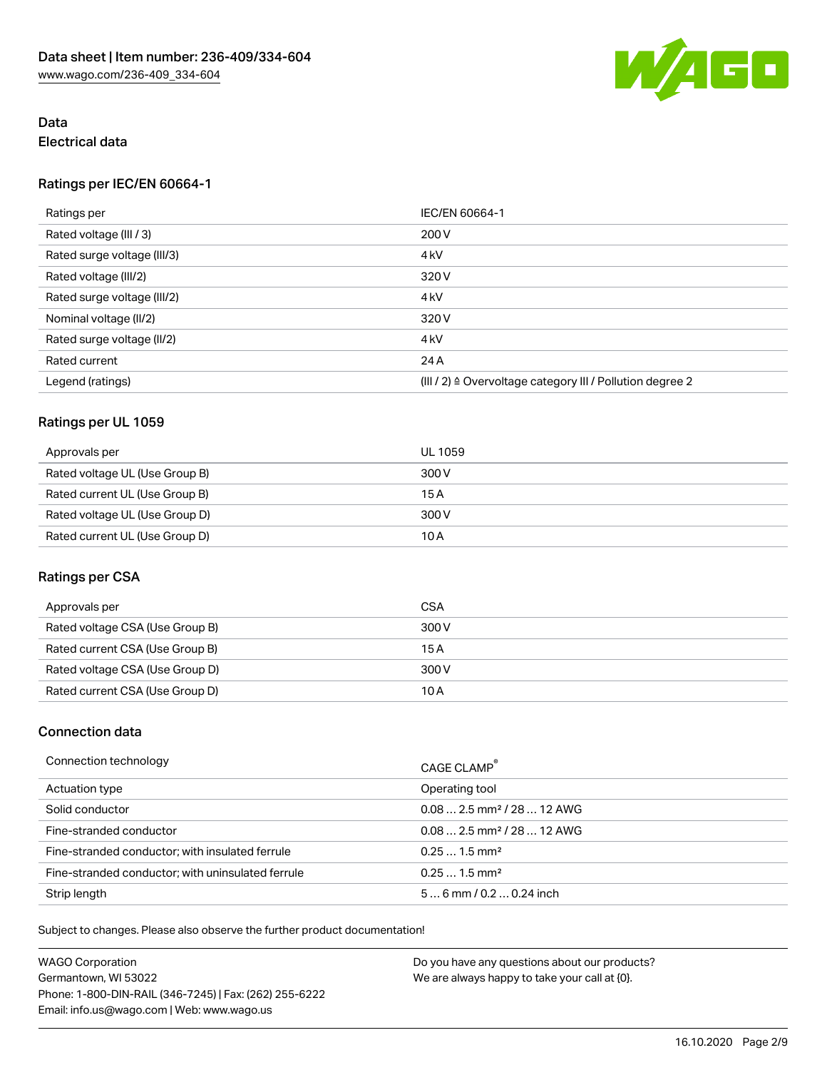

## Data Electrical data

#### Ratings per IEC/EN 60664-1

| Ratings per                 | IEC/EN 60664-1                                                       |
|-----------------------------|----------------------------------------------------------------------|
| Rated voltage (III / 3)     | 200 V                                                                |
| Rated surge voltage (III/3) | 4 <sub>kV</sub>                                                      |
| Rated voltage (III/2)       | 320 V                                                                |
| Rated surge voltage (III/2) | 4 <sub>kV</sub>                                                      |
| Nominal voltage (II/2)      | 320 V                                                                |
| Rated surge voltage (II/2)  | 4 <sub>kV</sub>                                                      |
| Rated current               | 24 A                                                                 |
| Legend (ratings)            | (III / 2) $\triangleq$ Overvoltage category III / Pollution degree 2 |

#### Ratings per UL 1059

| Approvals per                  | UL 1059 |
|--------------------------------|---------|
| Rated voltage UL (Use Group B) | 300 V   |
| Rated current UL (Use Group B) | 15 A    |
| Rated voltage UL (Use Group D) | 300 V   |
| Rated current UL (Use Group D) | 10 A    |

#### Ratings per CSA

| Approvals per                   | <b>CSA</b> |
|---------------------------------|------------|
| Rated voltage CSA (Use Group B) | 300 V      |
| Rated current CSA (Use Group B) | 15 A       |
| Rated voltage CSA (Use Group D) | 300 V      |
| Rated current CSA (Use Group D) | 10 A       |

#### Connection data

| Connection technology                             | CAGE CLAMP <sup>®</sup>                 |
|---------------------------------------------------|-----------------------------------------|
| Actuation type                                    | Operating tool                          |
| Solid conductor                                   | $0.08$ 2.5 mm <sup>2</sup> / 28  12 AWG |
| Fine-stranded conductor                           | $0.08$ 2.5 mm <sup>2</sup> / 28  12 AWG |
| Fine-stranded conductor; with insulated ferrule   | $0.251.5$ mm <sup>2</sup>               |
| Fine-stranded conductor; with uninsulated ferrule | $0.251.5$ mm <sup>2</sup>               |
| Strip length                                      | $56$ mm / 0.2  0.24 inch                |

Subject to changes. Please also observe the further product documentation!

| <b>WAGO Corporation</b>                                | Do you have any questions about our products? |
|--------------------------------------------------------|-----------------------------------------------|
| Germantown, WI 53022                                   | We are always happy to take your call at {0}. |
| Phone: 1-800-DIN-RAIL (346-7245)   Fax: (262) 255-6222 |                                               |
| Email: info.us@wago.com   Web: www.wago.us             |                                               |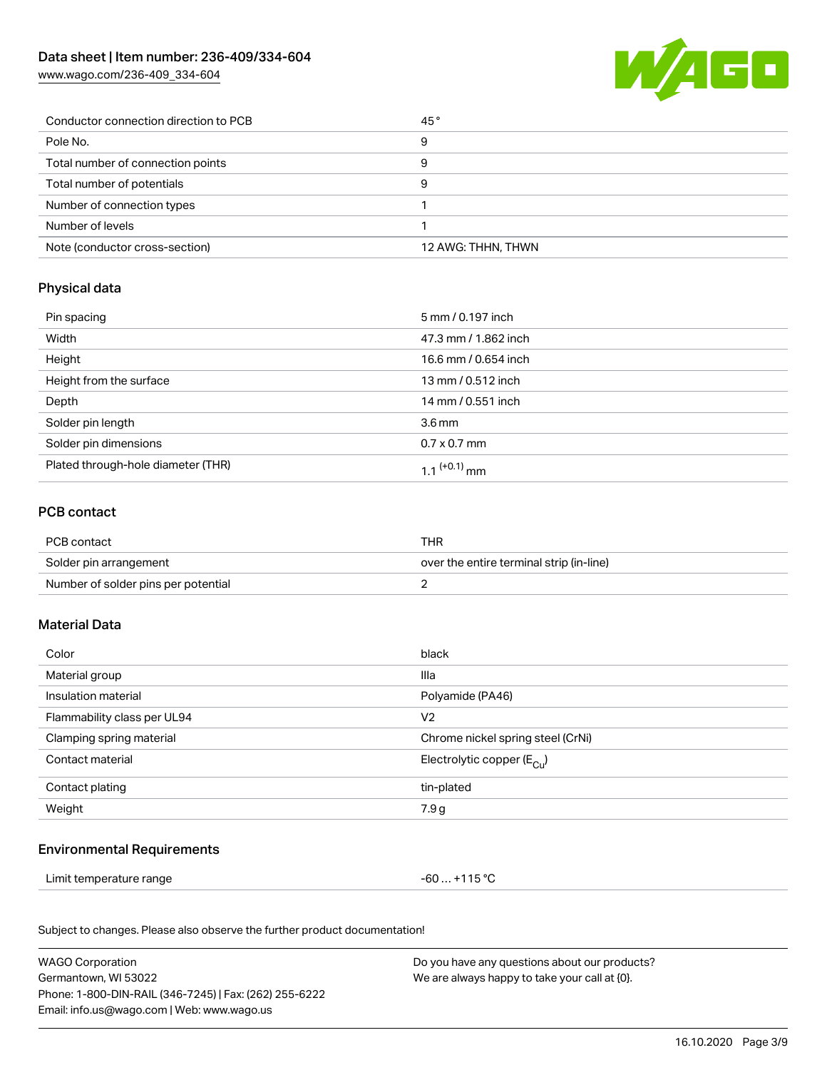[www.wago.com/236-409\\_334-604](http://www.wago.com/236-409_334-604)



| Conductor connection direction to PCB | 45°                |
|---------------------------------------|--------------------|
| Pole No.                              | 9                  |
| Total number of connection points     | 9                  |
| Total number of potentials            | 9                  |
| Number of connection types            |                    |
| Number of levels                      |                    |
| Note (conductor cross-section)        | 12 AWG: THHN, THWN |

# Physical data

| Pin spacing                        | 5 mm / 0.197 inch        |
|------------------------------------|--------------------------|
| Width                              | 47.3 mm / 1.862 inch     |
| Height                             | 16.6 mm / 0.654 inch     |
| Height from the surface            | 13 mm / 0.512 inch       |
| Depth                              | 14 mm / 0.551 inch       |
| Solder pin length                  | 3.6 <sub>mm</sub>        |
| Solder pin dimensions              | $0.7 \times 0.7$ mm      |
| Plated through-hole diameter (THR) | 1 1 <sup>(+0.1)</sup> mm |

#### PCB contact

| PCB contact                         | THR                                      |
|-------------------------------------|------------------------------------------|
| Solder pin arrangement              | over the entire terminal strip (in-line) |
| Number of solder pins per potential |                                          |

## Material Data

| Color                       | black                                |
|-----------------------------|--------------------------------------|
| Material group              | Illa                                 |
| Insulation material         | Polyamide (PA46)                     |
| Flammability class per UL94 | V <sub>2</sub>                       |
| Clamping spring material    | Chrome nickel spring steel (CrNi)    |
| Contact material            | Electrolytic copper $(E_{\text{C}})$ |
| Contact plating             | tin-plated                           |
| Weight                      | 7.9 <sub>g</sub>                     |

#### Environmental Requirements

Limit temperature range  $-60...+115$  °C

Subject to changes. Please also observe the further product documentation!

| <b>WAGO Corporation</b>                                | Do you have any questions about our products? |
|--------------------------------------------------------|-----------------------------------------------|
| Germantown, WI 53022                                   | We are always happy to take your call at {0}. |
| Phone: 1-800-DIN-RAIL (346-7245)   Fax: (262) 255-6222 |                                               |
| Email: info.us@wago.com   Web: www.wago.us             |                                               |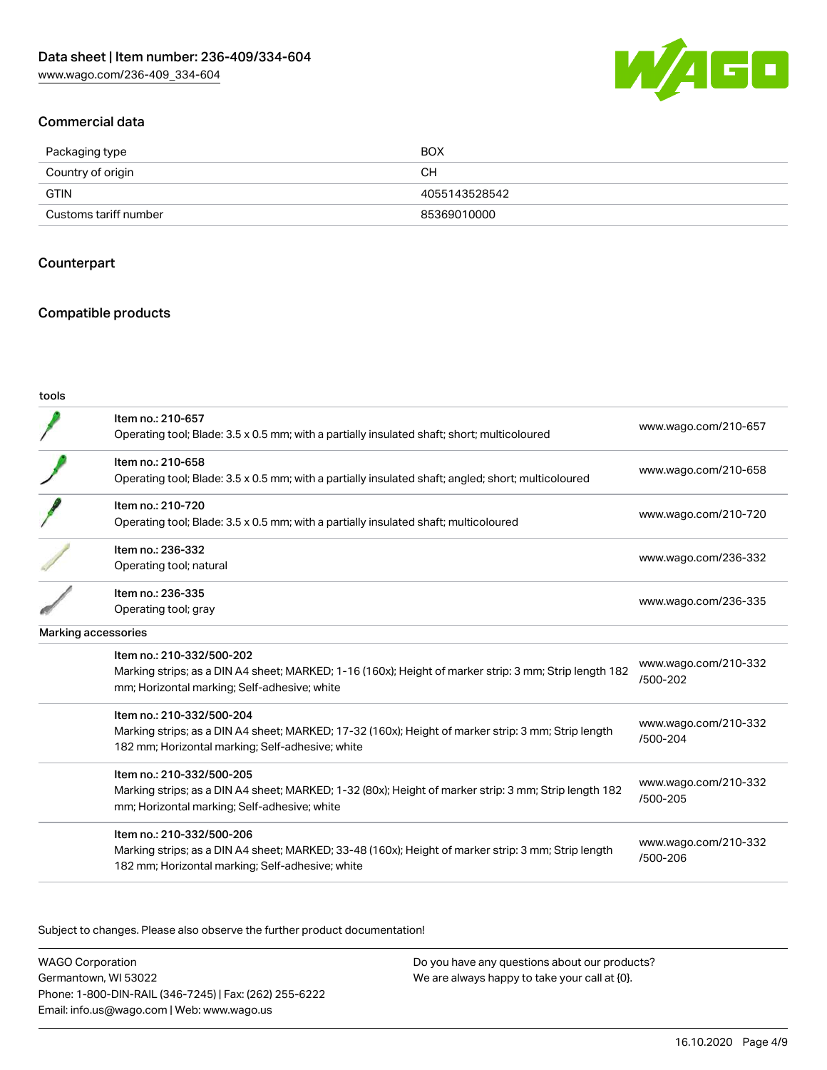

#### Commercial data

| Packaging type        | <b>BOX</b>    |
|-----------------------|---------------|
| Country of origin     | CН            |
| <b>GTIN</b>           | 4055143528542 |
| Customs tariff number | 85369010000   |

#### **Counterpart**

#### Compatible products

#### tools

|                     | Item no.: 210-657                                                                                      |                                  |
|---------------------|--------------------------------------------------------------------------------------------------------|----------------------------------|
|                     | Operating tool; Blade: 3.5 x 0.5 mm; with a partially insulated shaft; short; multicoloured            | www.wago.com/210-657             |
|                     | Item no.: 210-658                                                                                      | www.wago.com/210-658             |
|                     | Operating tool; Blade: 3.5 x 0.5 mm; with a partially insulated shaft; angled; short; multicoloured    |                                  |
|                     | Item no.: 210-720                                                                                      | www.wago.com/210-720             |
|                     | Operating tool; Blade: 3.5 x 0.5 mm; with a partially insulated shaft; multicoloured                   |                                  |
|                     | Item no.: 236-332                                                                                      |                                  |
|                     | Operating tool; natural                                                                                | www.wago.com/236-332             |
|                     | Item no.: 236-335                                                                                      |                                  |
|                     | Operating tool; gray                                                                                   | www.wago.com/236-335             |
| Marking accessories |                                                                                                        |                                  |
|                     | Item no.: 210-332/500-202                                                                              |                                  |
|                     | Marking strips; as a DIN A4 sheet; MARKED; 1-16 (160x); Height of marker strip: 3 mm; Strip length 182 | www.wago.com/210-332<br>/500-202 |
|                     | mm; Horizontal marking; Self-adhesive; white                                                           |                                  |
|                     | Item no.: 210-332/500-204                                                                              | www.wago.com/210-332             |
|                     | Marking strips; as a DIN A4 sheet; MARKED; 17-32 (160x); Height of marker strip: 3 mm; Strip length    | /500-204                         |
|                     | 182 mm; Horizontal marking; Self-adhesive; white                                                       |                                  |
|                     | Item no.: 210-332/500-205                                                                              | www.wago.com/210-332             |
|                     | Marking strips; as a DIN A4 sheet; MARKED; 1-32 (80x); Height of marker strip: 3 mm; Strip length 182  | /500-205                         |
|                     | mm; Horizontal marking; Self-adhesive; white                                                           |                                  |
|                     | Item no.: 210-332/500-206                                                                              |                                  |
|                     | Marking strips; as a DIN A4 sheet; MARKED; 33-48 (160x); Height of marker strip: 3 mm; Strip length    | www.wago.com/210-332<br>/500-206 |
|                     | 182 mm; Horizontal marking; Self-adhesive; white                                                       |                                  |

Subject to changes. Please also observe the further product documentation!

WAGO Corporation Germantown, WI 53022 Phone: 1-800-DIN-RAIL (346-7245) | Fax: (262) 255-6222 Email: info.us@wago.com | Web: www.wago.us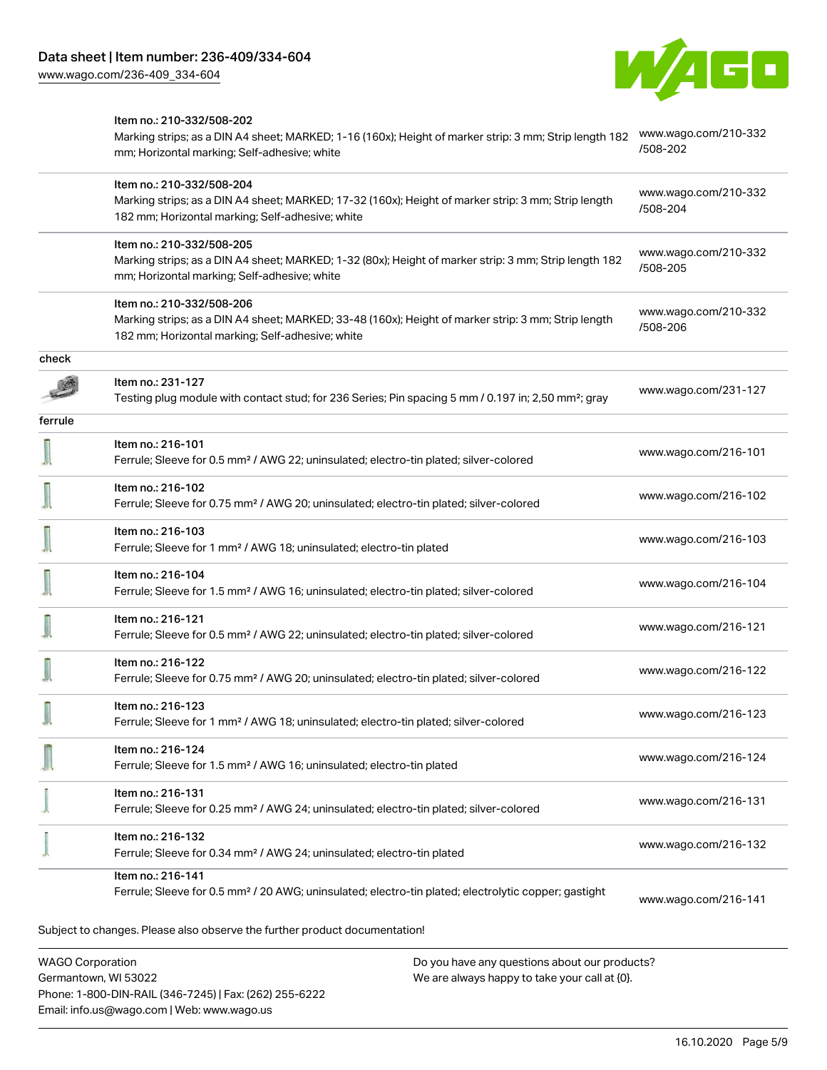

## Item no.: 210-332/508-202 Marking strips; as a DIN A4 sheet; MARKED; 1-16 (160x); Height of marker strip: 3 mm; Strip length 182 [www.wago.com/210-332](http://www.wago.com/210-332/508-202) [/508-202](http://www.wago.com/210-332/508-202) mm; Horizontal marking; Self-adhesive; white Item no.: 210-332/508-204 [www.wago.com/210-332](http://www.wago.com/210-332/508-204) Marking strips; as a DIN A4 sheet; MARKED; 17-32 (160x); Height of marker strip: 3 mm; Strip length [/508-204](http://www.wago.com/210-332/508-204) 182 mm; Horizontal marking; Self-adhesive; white Item no.: 210-332/508-205 [www.wago.com/210-332](http://www.wago.com/210-332/508-205) Marking strips; as a DIN A4 sheet; MARKED; 1-32 (80x); Height of marker strip: 3 mm; Strip length 182 [/508-205](http://www.wago.com/210-332/508-205) mm; Horizontal marking; Self-adhesive; white Item no.: 210-332/508-206 [www.wago.com/210-332](http://www.wago.com/210-332/508-206) Marking strips; as a DIN A4 sheet; MARKED; 33-48 (160x); Height of marker strip: 3 mm; Strip length [/508-206](http://www.wago.com/210-332/508-206) 182 mm; Horizontal marking; Self-adhesive; white check Item no.: 231-127 Testing plug module with contact stud; for 236 Series; Pin spacing 5 mm / 0.197 in; 2,50 mm²; gray [www.wago.com/231-127](http://www.wago.com/231-127) ferrule Item no.: 216-101 Ferrule; Sleeve for 0.5 mm² / AWG 22; uninsulated; electro-tin plated; silver-colored [www.wago.com/216-101](http://www.wago.com/216-101) W J Item no.: 216-102 Ferrule; Sleeve for 0.75 mm² / AWG 20; uninsulated; electro-tin plated; silver-colored [www.wago.com/216-102](http://www.wago.com/216-102) Item no.: 216-103 Ferrule; Sleeve for 1 mm² / AWG 18; uninsulated; electro-tin plated [www.wago.com/216-103](http://www.wago.com/216-103) Item no.: 216-104 Ferrule; Sleeve for 1.5 mm² / AWG 16; uninsulated; electro-tin plated; silver-colored [www.wago.com/216-104](http://www.wago.com/216-104) Item no.: 216-121 Ferrule; Sleeve for 0.5 mm² / AWG 22; uninsulated; electro-tin plated; silver-colored [www.wago.com/216-121](http://www.wago.com/216-121) Item no.: 216-122 Ferrule; Sleeve for 0.75 mm² / AWG 20; uninsulated; electro-tin plated; silver-colored [www.wago.com/216-122](http://www.wago.com/216-122) Item no.: 216-123 Ferrule; Sleeve for 1 mm² / AWG 18; uninsulated; electro-tin plated; silver-colored [www.wago.com/216-123](http://www.wago.com/216-123) Item no.: 216-124 Ferrule; Sleeve for 1.5 mm² / AWG 16; uninsulated; electro-tin plated [www.wago.com/216-124](http://www.wago.com/216-124) Item no.: 216-131 Ferrule; Sleeve for 0.25 mm² / AWG 24; uninsulated; electro-tin plated; silver-colored [www.wago.com/216-131](http://www.wago.com/216-131) Item no.: 216-132 Ferrule; Sleeve for 0.34 mm² / AWG 24; uninsulated; electro-tin plated [www.wago.com/216-132](http://www.wago.com/216-132) Item no.: 216-141 Ferrule; Sleeve for 0.5 mm² / 20 AWG; uninsulated; electro-tin plated; electrolytic copper; gastight [www.wago.com/216-141](http://www.wago.com/216-141)Subject to changes. Please also observe the further product documentation!

WAGO Corporation Germantown, WI 53022 Phone: 1-800-DIN-RAIL (346-7245) | Fax: (262) 255-6222 Email: info.us@wago.com | Web: www.wago.us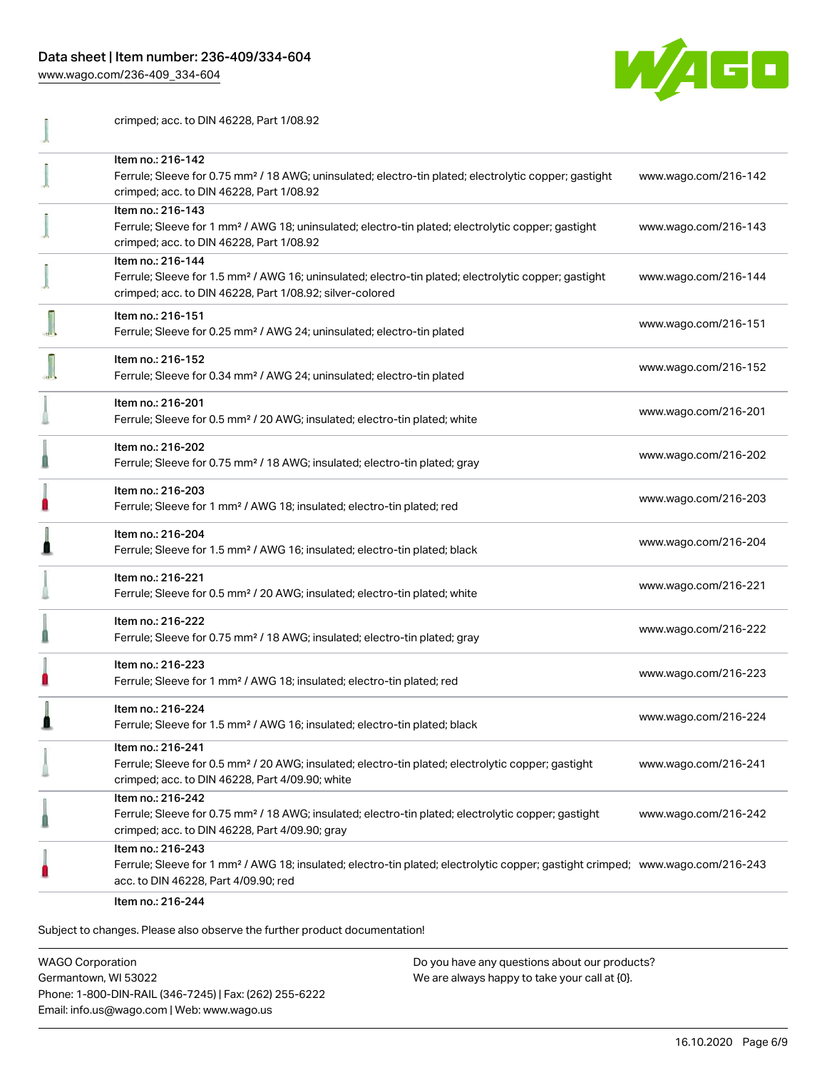[www.wago.com/236-409\\_334-604](http://www.wago.com/236-409_334-604)



| crimped; acc. to DIN 46228, Part 1/08.92                                                                                                                                                                |                      |
|---------------------------------------------------------------------------------------------------------------------------------------------------------------------------------------------------------|----------------------|
| Item no.: 216-142<br>Ferrule; Sleeve for 0.75 mm <sup>2</sup> / 18 AWG; uninsulated; electro-tin plated; electrolytic copper; gastight<br>crimped; acc. to DIN 46228, Part 1/08.92                      | www.wago.com/216-142 |
| Item no.: 216-143<br>Ferrule; Sleeve for 1 mm <sup>2</sup> / AWG 18; uninsulated; electro-tin plated; electrolytic copper; gastight<br>crimped; acc. to DIN 46228, Part 1/08.92                         | www.wago.com/216-143 |
| Item no.: 216-144<br>Ferrule; Sleeve for 1.5 mm <sup>2</sup> / AWG 16; uninsulated; electro-tin plated; electrolytic copper; gastight<br>crimped; acc. to DIN 46228, Part 1/08.92; silver-colored       | www.wago.com/216-144 |
| Item no.: 216-151<br>Ferrule; Sleeve for 0.25 mm <sup>2</sup> / AWG 24; uninsulated; electro-tin plated                                                                                                 | www.wago.com/216-151 |
| Item no.: 216-152<br>Ferrule; Sleeve for 0.34 mm <sup>2</sup> / AWG 24; uninsulated; electro-tin plated                                                                                                 | www.wago.com/216-152 |
| Item no.: 216-201<br>Ferrule; Sleeve for 0.5 mm <sup>2</sup> / 20 AWG; insulated; electro-tin plated; white                                                                                             | www.wago.com/216-201 |
| Item no.: 216-202<br>Ferrule; Sleeve for 0.75 mm <sup>2</sup> / 18 AWG; insulated; electro-tin plated; gray                                                                                             | www.wago.com/216-202 |
| Item no.: 216-203<br>Ferrule; Sleeve for 1 mm <sup>2</sup> / AWG 18; insulated; electro-tin plated; red                                                                                                 | www.wago.com/216-203 |
| Item no.: 216-204<br>Ferrule; Sleeve for 1.5 mm <sup>2</sup> / AWG 16; insulated; electro-tin plated; black                                                                                             | www.wago.com/216-204 |
| Item no.: 216-221<br>Ferrule; Sleeve for 0.5 mm <sup>2</sup> / 20 AWG; insulated; electro-tin plated; white                                                                                             | www.wago.com/216-221 |
| Item no.: 216-222<br>Ferrule; Sleeve for 0.75 mm <sup>2</sup> / 18 AWG; insulated; electro-tin plated; gray                                                                                             | www.wago.com/216-222 |
| Item no.: 216-223<br>Ferrule; Sleeve for 1 mm <sup>2</sup> / AWG 18; insulated; electro-tin plated; red                                                                                                 | www.wago.com/216-223 |
| Item no.: 216-224<br>Ferrule; Sleeve for 1.5 mm <sup>2</sup> / AWG 16; insulated; electro-tin plated; black                                                                                             | www.wago.com/216-224 |
| Item no.: 216-241<br>Ferrule; Sleeve for 0.5 mm <sup>2</sup> / 20 AWG; insulated; electro-tin plated; electrolytic copper; gastight<br>crimped; acc. to DIN 46228, Part 4/09.90; white                  | www.wago.com/216-241 |
| Item no.: 216-242<br>Ferrule; Sleeve for 0.75 mm <sup>2</sup> / 18 AWG; insulated; electro-tin plated; electrolytic copper; gastight<br>crimped; acc. to DIN 46228, Part 4/09.90; gray                  | www.wago.com/216-242 |
| Item no.: 216-243<br>Ferrule; Sleeve for 1 mm <sup>2</sup> / AWG 18; insulated; electro-tin plated; electrolytic copper; gastight crimped; www.wago.com/216-243<br>acc. to DIN 46228, Part 4/09.90; red |                      |
| Item no.: 216-244                                                                                                                                                                                       |                      |

Subject to changes. Please also observe the further product documentation!

WAGO Corporation Germantown, WI 53022 Phone: 1-800-DIN-RAIL (346-7245) | Fax: (262) 255-6222 Email: info.us@wago.com | Web: www.wago.us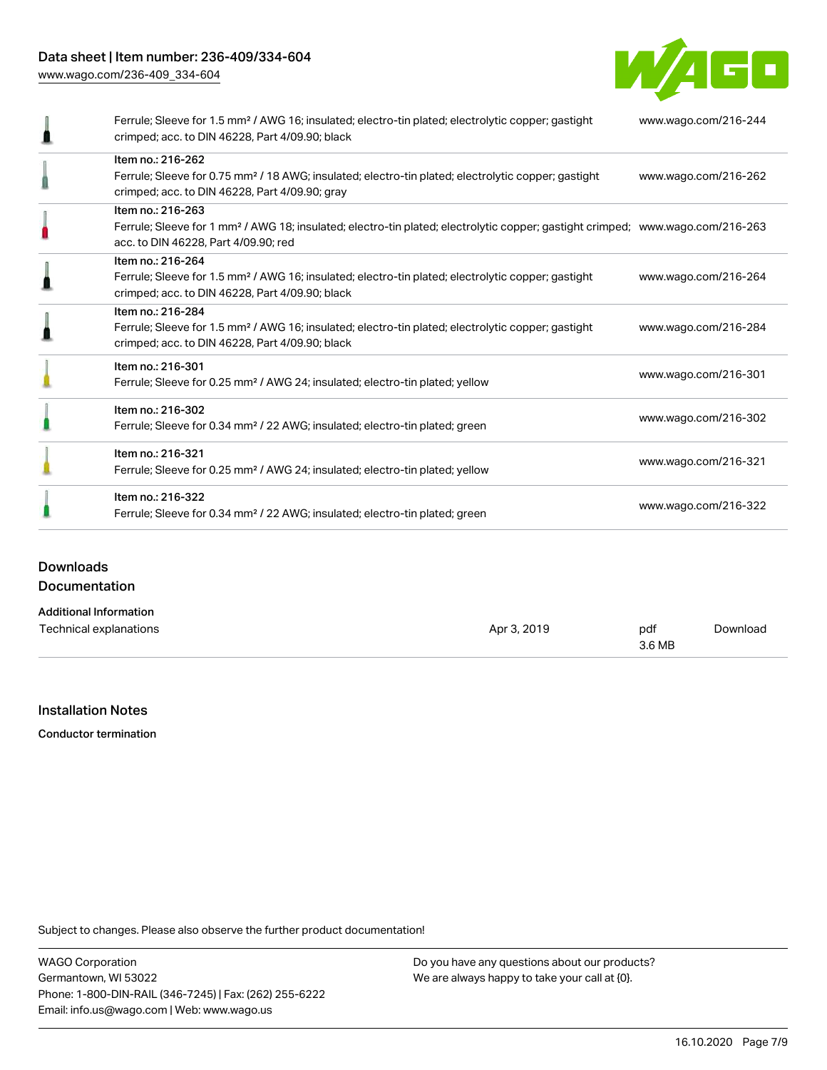[www.wago.com/236-409\\_334-604](http://www.wago.com/236-409_334-604)



| Ferrule; Sleeve for 1.5 mm <sup>2</sup> / AWG 16; insulated; electro-tin plated; electrolytic copper; gastight<br>crimped; acc. to DIN 46228, Part 4/09.90; black                                       | www.wago.com/216-244 |
|---------------------------------------------------------------------------------------------------------------------------------------------------------------------------------------------------------|----------------------|
| Item no.: 216-262<br>Ferrule; Sleeve for 0.75 mm <sup>2</sup> / 18 AWG; insulated; electro-tin plated; electrolytic copper; gastight<br>crimped; acc. to DIN 46228, Part 4/09.90; gray                  | www.wago.com/216-262 |
| Item no.: 216-263<br>Ferrule; Sleeve for 1 mm <sup>2</sup> / AWG 18; insulated; electro-tin plated; electrolytic copper; gastight crimped; www.wago.com/216-263<br>acc. to DIN 46228, Part 4/09.90; red |                      |
| Item no.: 216-264<br>Ferrule; Sleeve for 1.5 mm <sup>2</sup> / AWG 16; insulated; electro-tin plated; electrolytic copper; gastight<br>crimped; acc. to DIN 46228, Part 4/09.90; black                  | www.wago.com/216-264 |
| Item no.: 216-284<br>Ferrule; Sleeve for 1.5 mm <sup>2</sup> / AWG 16; insulated; electro-tin plated; electrolytic copper; gastight<br>crimped; acc. to DIN 46228, Part 4/09.90; black                  | www.wago.com/216-284 |
| Item no.: 216-301<br>Ferrule; Sleeve for 0.25 mm <sup>2</sup> / AWG 24; insulated; electro-tin plated; yellow                                                                                           | www.wago.com/216-301 |
| Item no.: 216-302<br>Ferrule; Sleeve for 0.34 mm <sup>2</sup> / 22 AWG; insulated; electro-tin plated; green                                                                                            | www.wago.com/216-302 |
| Item no.: 216-321<br>Ferrule; Sleeve for 0.25 mm <sup>2</sup> / AWG 24; insulated; electro-tin plated; yellow                                                                                           | www.wago.com/216-321 |
| Item no.: 216-322<br>Ferrule; Sleeve for 0.34 mm <sup>2</sup> / 22 AWG; insulated; electro-tin plated; green                                                                                            | www.wago.com/216-322 |

# **Downloads** Documentation

| <b>Additional Information</b> |             |        |          |
|-------------------------------|-------------|--------|----------|
| Technical explanations        | Apr 3, 2019 | pdf    | Download |
|                               |             | 3.6 MB |          |

#### Installation Notes

Conductor termination

Subject to changes. Please also observe the further product documentation!

WAGO Corporation Germantown, WI 53022 Phone: 1-800-DIN-RAIL (346-7245) | Fax: (262) 255-6222 Email: info.us@wago.com | Web: www.wago.us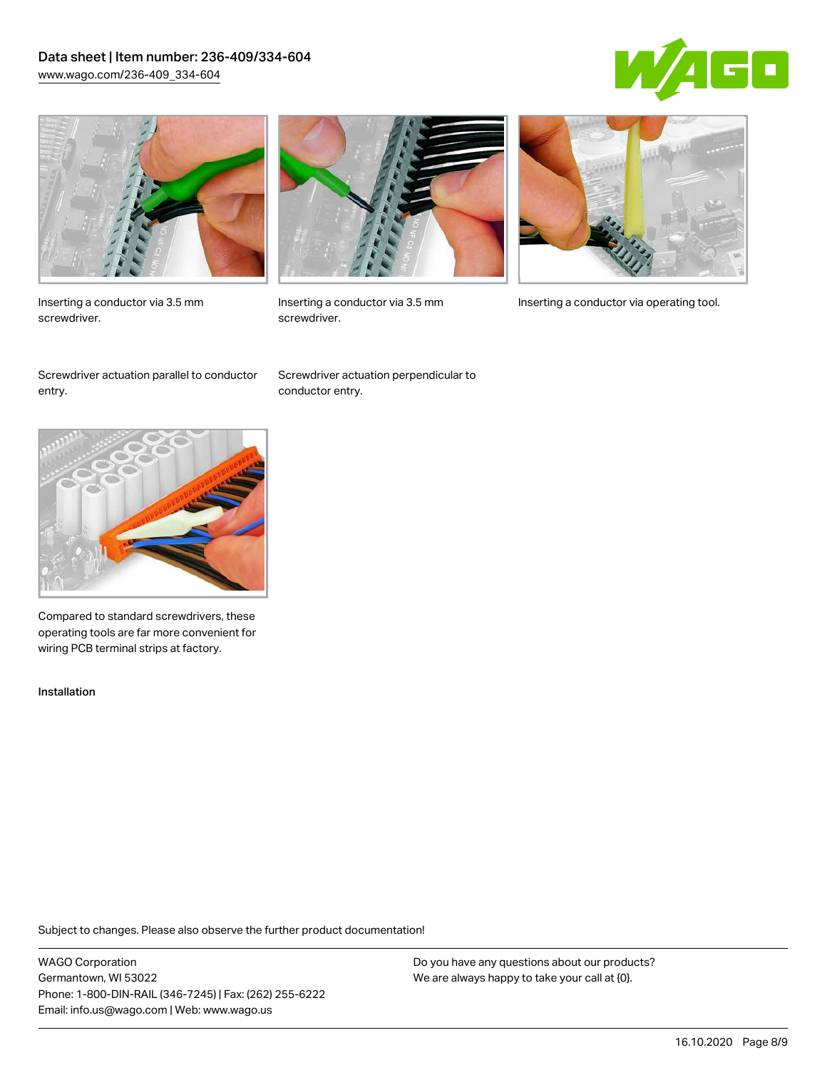#### Data sheet | Item number: 236-409/334-604 [www.wago.com/236-409\\_334-604](http://www.wago.com/236-409_334-604)





Inserting a conductor via 3.5 mm screwdriver.



screwdriver.

Inserting a conductor via 3.5 mm Inserting a conductor via operating tool.

Screwdriver actuation parallel to conductor entry.

Screwdriver actuation perpendicular to conductor entry.



Compared to standard screwdrivers, these operating tools are far more convenient for wiring PCB terminal strips at factory.

Installation

Subject to changes. Please also observe the further product documentation!

WAGO Corporation Germantown, WI 53022 Phone: 1-800-DIN-RAIL (346-7245) | Fax: (262) 255-6222 Email: info.us@wago.com | Web: www.wago.us